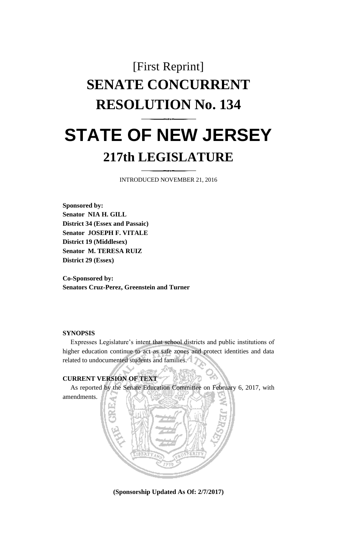# [First Reprint] **SENATE CONCURRENT RESOLUTION No. 134 STATE OF NEW JERSEY 217th LEGISLATURE**

INTRODUCED NOVEMBER 21, 2016

**Sponsored by: Senator NIA H. GILL District 34 (Essex and Passaic) Senator JOSEPH F. VITALE District 19 (Middlesex) Senator M. TERESA RUIZ District 29 (Essex)**

**Co-Sponsored by: Senators Cruz-Perez, Greenstein and Turner**

### **SYNOPSIS**

Expresses Legislature's intent that school districts and public institutions of higher education continue to act as safe zones and protect identities and data related to undocumented students and families.

## **CURRENT VERSION OF TEXT**

As reported by the Senate Education Committee on February 6, 2017, with amendments.



**(Sponsorship Updated As Of: 2/7/2017)**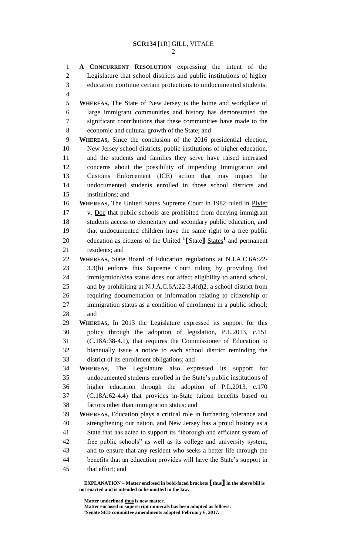**A CONCURRENT RESOLUTION** expressing the intent of the Legislature that school districts and public institutions of higher education continue certain protections to undocumented students.

 **WHEREAS,** The State of New Jersey is the home and workplace of large immigrant communities and history has demonstrated the significant contributions that these communities have made to the economic and cultural growth of the State; and

 **WHEREAS,** Since the conclusion of the 2016 presidential election, New Jersey school districts, public institutions of higher education, and the students and families they serve have raised increased concerns about the possibility of impending Immigration and Customs Enforcement (ICE) action that may impact the undocumented students enrolled in those school districts and institutions; and

 **WHEREAS,** The United States Supreme Court in 1982 ruled in Plyler 17 v. Doe that public schools are prohibited from denying immigrant students access to elementary and secondary public education, and that undocumented children have the same right to a free public 20 education as citizens of the United <sup>1</sup>[State] States<sup>1</sup> and permanent residents; and

 **WHEREAS,** State Board of Education regulations at N.J.A.C.6A:22- 3.3(b) enforce this Supreme Court ruling by providing that immigration/visa status does not affect eligibility to attend school, and by prohibiting at N.J.A.C.6A:22-3.4(d)2. a school district from requiring documentation or information relating to citizenship or immigration status as a condition of enrollment in a public school; and

 **WHEREAS,** In 2013 the Legislature expressed its support for this policy through the adoption of legislation, P.L.2013, c.151 (C.18A:38-4.1), that requires the Commissioner of Education to biannually issue a notice to each school district reminding the district of its enrollment obligations; and

 **WHEREAS,** The Legislature also expressed its support for undocumented students enrolled in the State's public institutions of higher education through the adoption of P.L.2013, c.170 (C.18A:62-4.4) that provides in-State tuition benefits based on factors other than immigration status; and

 **WHEREAS,** Education plays a critical role in furthering tolerance and strengthening our nation, and New Jersey has a proud history as a State that has acted to support its "thorough and efficient system of free public schools" as well as its college and university system, and to ensure that any resident who seeks a better life through the benefits that an education provides will have the State's support in that effort; and

**EXPLANATION – Matter enclosed in bold-faced brackets [thus] in the above bill is not enacted and is intended to be omitted in the law.**

**Matter underlined thus is new matter.**

**Matter enclosed in superscript numerals has been adopted as follows: Senate SED committee amendments adopted February 6, 2017.**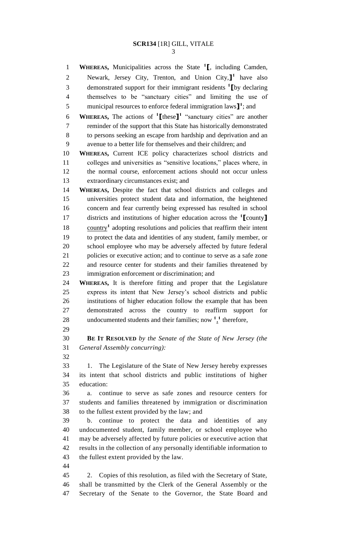# **SCR134** [1R] GILL, VITALE

**WHEREAS,** Municipalities across the State **<sup>1</sup> [**, including Camden, Newark, Jersey City, Trenton, and Union City,**] 1** have also demonstrated support for their immigrant residents **<sup>1</sup> [**by declaring themselves to be "sanctuary cities" and limiting the use of 5 municipal resources to enforce federal immigration laws  $\mathbf{I}^1$ ; and **WHEREAS,** The actions of **<sup>1</sup> [**these**] 1** "sanctuary cities" are another reminder of the support that this State has historically demonstrated to persons seeking an escape from hardship and deprivation and an avenue to a better life for themselves and their children; and **WHEREAS,** Current ICE policy characterizes school districts and colleges and universities as "sensitive locations," places where, in the normal course, enforcement actions should not occur unless extraordinary circumstances exist; and **WHEREAS,** Despite the fact that school districts and colleges and universities protect student data and information, the heightened concern and fear currently being expressed has resulted in school districts and institutions of higher education across the **<sup>1</sup> [**county**]** 18 country<sup>1</sup> adopting resolutions and policies that reaffirm their intent to protect the data and identities of any student, family member, or school employee who may be adversely affected by future federal policies or executive action; and to continue to serve as a safe zone and resource center for students and their families threatened by immigration enforcement or discrimination; and **WHEREAS,** It is therefore fitting and proper that the Legislature express its intent that New Jersey's school districts and public institutions of higher education follow the example that has been demonstrated across the country to reaffirm support for 28 undocumented students and their families; now  $\frac{1}{1}$ <sup>t</sup> therefore, **BE IT RESOLVED** *by the Senate of the State of New Jersey (the General Assembly concurring):* 1. The Legislature of the State of New Jersey hereby expresses its intent that school districts and public institutions of higher education: a. continue to serve as safe zones and resource centers for students and families threatened by immigration or discrimination to the fullest extent provided by the law; and b. continue to protect the data and identities of any undocumented student, family member, or school employee who may be adversely affected by future policies or executive action that results in the collection of any personally identifiable information to the fullest extent provided by the law. 2. Copies of this resolution, as filed with the Secretary of State, shall be transmitted by the Clerk of the General Assembly or the

Secretary of the Senate to the Governor, the State Board and